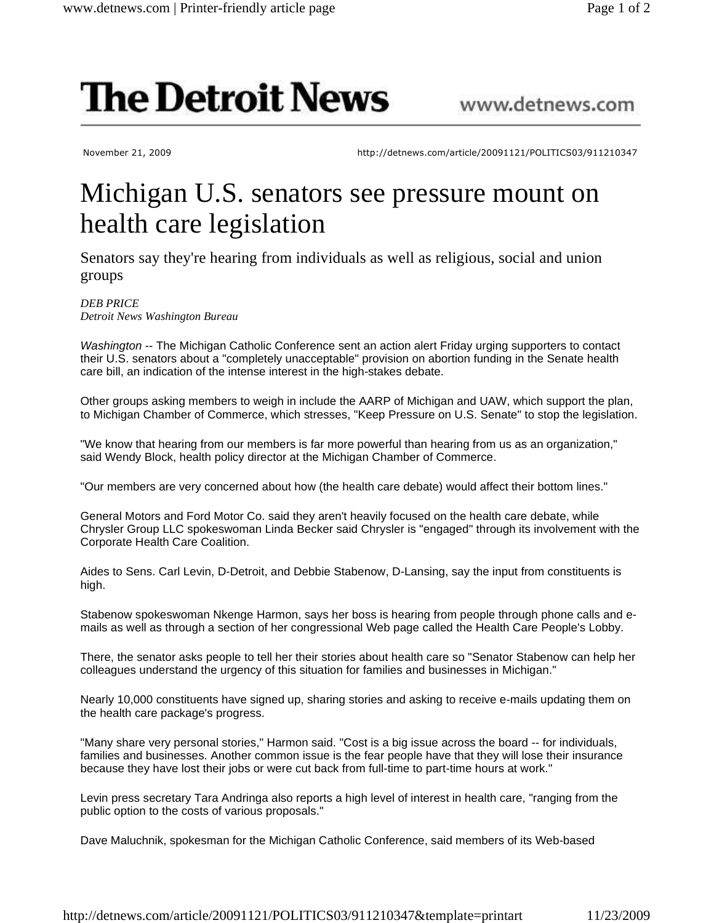## **The Detroit News**

November 21, 2009 http://detnews.com/article/20091121/POLITICS03/911210347

www.detnews.com

## Michigan U.S. senators see pressure mount on health care legislation

Senators say they're hearing from individuals as well as religious, social and union groups

*DEB PRICE Detroit News Washington Bureau*

Washington -- The Michigan Catholic Conference sent an action alert Friday urging supporters to contact their U.S. senators about a "completely unacceptable" provision on abortion funding in the Senate health care bill, an indication of the intense interest in the high-stakes debate.

Other groups asking members to weigh in include the AARP of Michigan and UAW, which support the plan, to Michigan Chamber of Commerce, which stresses, "Keep Pressure on U.S. Senate" to stop the legislation.

"We know that hearing from our members is far more powerful than hearing from us as an organization," said Wendy Block, health policy director at the Michigan Chamber of Commerce.

"Our members are very concerned about how (the health care debate) would affect their bottom lines."

General Motors and Ford Motor Co. said they aren't heavily focused on the health care debate, while Chrysler Group LLC spokeswoman Linda Becker said Chrysler is "engaged" through its involvement with the Corporate Health Care Coalition.

Aides to Sens. Carl Levin, D-Detroit, and Debbie Stabenow, D-Lansing, say the input from constituents is high.

Stabenow spokeswoman Nkenge Harmon, says her boss is hearing from people through phone calls and emails as well as through a section of her congressional Web page called the Health Care People's Lobby.

There, the senator asks people to tell her their stories about health care so "Senator Stabenow can help her colleagues understand the urgency of this situation for families and businesses in Michigan."

Nearly 10,000 constituents have signed up, sharing stories and asking to receive e-mails updating them on the health care package's progress.

"Many share very personal stories," Harmon said. "Cost is a big issue across the board -- for individuals, families and businesses. Another common issue is the fear people have that they will lose their insurance because they have lost their jobs or were cut back from full-time to part-time hours at work."

Levin press secretary Tara Andringa also reports a high level of interest in health care, "ranging from the public option to the costs of various proposals."

Dave Maluchnik, spokesman for the Michigan Catholic Conference, said members of its Web-based